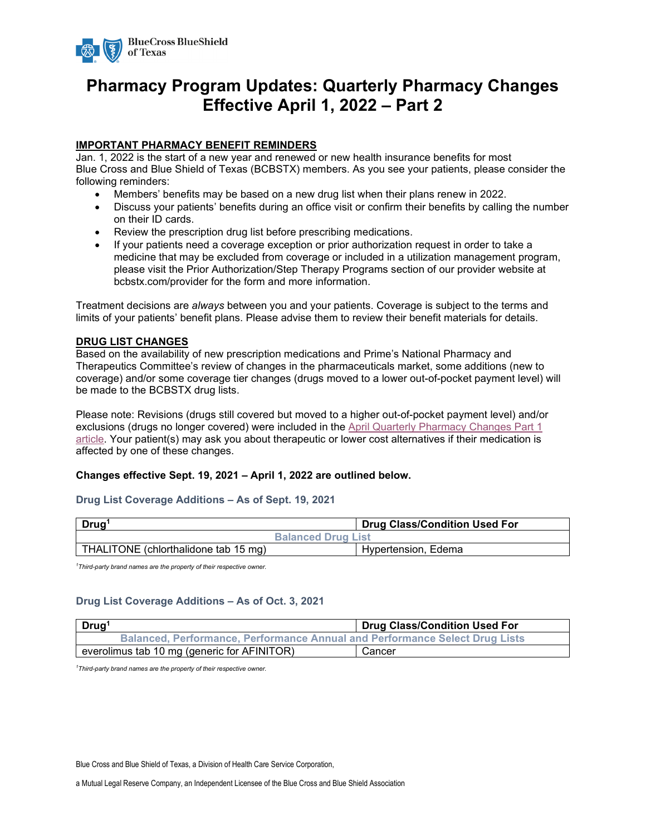

# **Pharmacy Program Updates: Quarterly Pharmacy Changes Effective April 1, 2022 – Part 2**

#### **IMPORTANT PHARMACY BENEFIT REMINDERS**

Jan. 1, 2022 is the start of a new year and renewed or new health insurance benefits for most Blue Cross and Blue Shield of Texas (BCBSTX) members. As you see your patients, please consider the following reminders:

- Members' benefits may be based on a new drug list when their plans renew in 2022.
- Discuss your patients' benefits during an office visit or confirm their benefits by calling the number on their ID cards.
- Review the prescription drug list before prescribing medications.
- If your patients need a coverage exception or prior authorization request in order to take a medicine that may be excluded from coverage or included in a utilization management program, please visit the Prior Authorization/Step Therapy Programs section of our provider website at bcbstx.com/provider for the form and more information.

Treatment decisions are *always* between you and your patients. Coverage is subject to the terms and limits of your patients' benefit plans. Please advise them to review their benefit materials for details.

#### **DRUG LIST CHANGES**

Based on the availability of new prescription medications and Prime's National Pharmacy and Therapeutics Committee's review of changes in the pharmaceuticals market, some additions (new to coverage) and/or some coverage tier changes (drugs moved to a lower out-of-pocket payment level) will be made to the BCBSTX drug lists.

Please note: Revisions (drugs still covered but moved to a higher out-of-pocket payment level) and/or exclusions (drugs no longer covered) were included in the April [Quarterly Pharmacy Changes Part 1](https://www.bcbstx.com/docs/provider/tx/education/news/2022/tx-provider-pharmacy-changes-eff-04012022-part1.pdf)  [article.](https://www.bcbstx.com/docs/provider/tx/education/news/2022/tx-provider-pharmacy-changes-eff-04012022-part1.pdf) Your patient(s) may ask you about therapeutic or lower cost alternatives if their medication is affected by one of these changes.

#### **Changes effective Sept. 19, 2021 – April 1, 2022 are outlined below.**

#### **Drug List Coverage Additions – As of Sept. 19, 2021**

| Drug <sup>1</sup>                    | <b>Drug Class/Condition Used For</b> |  |
|--------------------------------------|--------------------------------------|--|
| <b>Balanced Drug List</b>            |                                      |  |
| THALITONE (chlorthalidone tab 15 mg) | Hypertension, Edema                  |  |

*1 Third-party brand names are the property of their respective owner.*

#### **Drug List Coverage Additions – As of Oct. 3, 2021**

| Drug <sup>1</sup>                                                                  | <b>Drug Class/Condition Used For</b> |  |
|------------------------------------------------------------------------------------|--------------------------------------|--|
| <b>Balanced, Performance, Performance Annual and Performance Select Drug Lists</b> |                                      |  |
| everolimus tab 10 mg (generic for AFINITOR)                                        | Cancer                               |  |

*1 Third-party brand names are the property of their respective owner.*

Blue Cross and Blue Shield of Texas, a Division of Health Care Service Corporation,

a Mutual Legal Reserve Company, an Independent Licensee of the Blue Cross and Blue Shield Association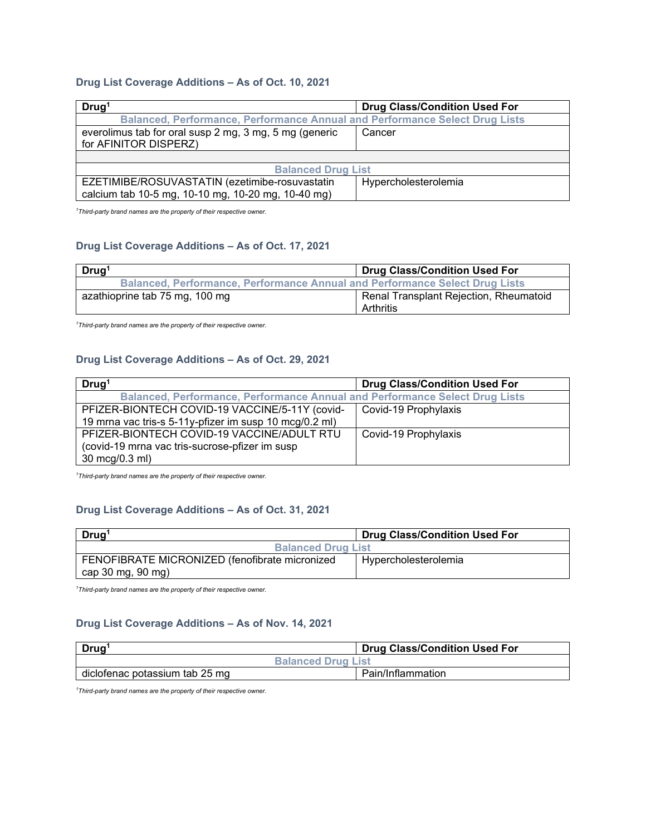# **Drug List Coverage Additions – As of Oct. 10, 2021**

| Drug <sup>1</sup>                                                               | <b>Drug Class/Condition Used For</b> |  |
|---------------------------------------------------------------------------------|--------------------------------------|--|
| Balanced, Performance, Performance Annual and Performance Select Drug Lists     |                                      |  |
| everolimus tab for oral susp 2 mg, 3 mg, 5 mg (generic<br>for AFINITOR DISPERZ) | Cancer                               |  |
|                                                                                 |                                      |  |
| <b>Balanced Drug List</b>                                                       |                                      |  |
| EZETIMIBE/ROSUVASTATIN (ezetimibe-rosuvastatin                                  | Hypercholesterolemia                 |  |
| calcium tab 10-5 mg, 10-10 mg, 10-20 mg, 10-40 mg)                              |                                      |  |

*1 Third-party brand names are the property of their respective owner.*

### **Drug List Coverage Additions – As of Oct. 17, 2021**

| Drug <sup>1</sup>                                                                  | <b>Drug Class/Condition Used For</b>                |
|------------------------------------------------------------------------------------|-----------------------------------------------------|
| <b>Balanced, Performance, Performance Annual and Performance Select Drug Lists</b> |                                                     |
| azathioprine tab 75 mg, 100 mg                                                     | Renal Transplant Rejection, Rheumatoid<br>Arthritis |

*1 Third-party brand names are the property of their respective owner.*

#### **Drug List Coverage Additions – As of Oct. 29, 2021**

| Drug <sup>1</sup>                                                           | <b>Drug Class/Condition Used For</b> |  |
|-----------------------------------------------------------------------------|--------------------------------------|--|
| Balanced, Performance, Performance Annual and Performance Select Drug Lists |                                      |  |
| PFIZER-BIONTECH COVID-19 VACCINE/5-11Y (covid-                              | Covid-19 Prophylaxis                 |  |
| 19 mrna vac tris-s 5-11y-pfizer im susp 10 mcg/0.2 ml)                      |                                      |  |
| PFIZER-BIONTECH COVID-19 VACCINE/ADULT RTU                                  | Covid-19 Prophylaxis                 |  |
| (covid-19 mrna vac tris-sucrose-pfizer im susp                              |                                      |  |
| 30 mcg/0.3 ml)                                                              |                                      |  |

*1 Third-party brand names are the property of their respective owner.*

#### **Drug List Coverage Additions – As of Oct. 31, 2021**

| Drug <sup>1</sup>                              | <b>Drug Class/Condition Used For</b> |  |
|------------------------------------------------|--------------------------------------|--|
| <b>Balanced Drug List</b>                      |                                      |  |
| FENOFIBRATE MICRONIZED (fenofibrate micronized | Hypercholesterolemia                 |  |
| cap 30 mg, 90 mg)                              |                                      |  |

*1 Third-party brand names are the property of their respective owner.*

#### **Drug List Coverage Additions – As of Nov. 14, 2021**

| Drug <sup>1</sup>              | <b>Drug Class/Condition Used For</b> |
|--------------------------------|--------------------------------------|
| <b>Balanced Drug List</b>      |                                      |
| diclofenac potassium tab 25 mg | Pain/Inflammation                    |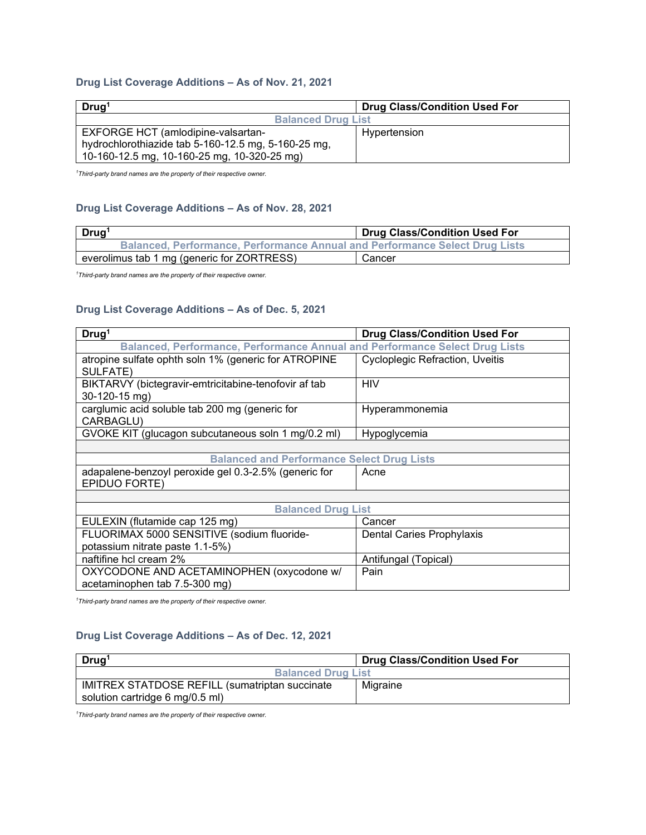# **Drug List Coverage Additions – As of Nov. 21, 2021**

| Drug <sup>1</sup>                                   | <b>Drug Class/Condition Used For</b> |  |
|-----------------------------------------------------|--------------------------------------|--|
| <b>Balanced Drug List</b>                           |                                      |  |
| <b>EXFORGE HCT (amlodipine-valsartan-</b>           | Hypertension                         |  |
| hydrochlorothiazide tab 5-160-12.5 mg, 5-160-25 mg, |                                      |  |
| 10-160-12.5 mg, 10-160-25 mg, 10-320-25 mg)         |                                      |  |

*1 Third-party brand names are the property of their respective owner.*

#### **Drug List Coverage Additions – As of Nov. 28, 2021**

| Drug <sup>®</sup>                                                                  | <b>Drug Class/Condition Used For</b> |
|------------------------------------------------------------------------------------|--------------------------------------|
| <b>Balanced, Performance, Performance Annual and Performance Select Drug Lists</b> |                                      |
| everolimus tab 1 mg (generic for ZORTRESS)                                         | Cancer                               |

*1 Third-party brand names are the property of their respective owner.*

# **Drug List Coverage Additions – As of Dec. 5, 2021**

| Druq <sup>1</sup>                                                           | <b>Drug Class/Condition Used For</b>   |  |
|-----------------------------------------------------------------------------|----------------------------------------|--|
| Balanced, Performance, Performance Annual and Performance Select Drug Lists |                                        |  |
| atropine sulfate ophth soln 1% (generic for ATROPINE                        | <b>Cycloplegic Refraction, Uveitis</b> |  |
| SULFATE)                                                                    |                                        |  |
| BIKTARVY (bictegravir-emtricitabine-tenofovir af tab                        | HIV                                    |  |
| $30-120-15$ mg)                                                             |                                        |  |
| carglumic acid soluble tab 200 mg (generic for                              | Hyperammonemia                         |  |
| CARBAGLU)                                                                   |                                        |  |
| GVOKE KIT (glucagon subcutaneous soln 1 mg/0.2 ml)                          | Hypoglycemia                           |  |
|                                                                             |                                        |  |
| <b>Balanced and Performance Select Drug Lists</b>                           |                                        |  |
| adapalene-benzoyl peroxide gel 0.3-2.5% (generic for                        | Acne                                   |  |
| EPIDUO FORTE)                                                               |                                        |  |
|                                                                             |                                        |  |
| <b>Balanced Drug List</b>                                                   |                                        |  |
| EULEXIN (flutamide cap 125 mg)                                              | Cancer                                 |  |
| FLUORIMAX 5000 SENSITIVE (sodium fluoride-                                  | Dental Caries Prophylaxis              |  |
| potassium nitrate paste 1.1-5%)                                             |                                        |  |
| naftifine hcl cream 2%                                                      | Antifungal (Topical)                   |  |
| OXYCODONE AND ACETAMINOPHEN (oxycodone w/                                   | Pain                                   |  |
| acetaminophen tab 7.5-300 mg)                                               |                                        |  |

*1 Third-party brand names are the property of their respective owner.*

#### **Drug List Coverage Additions – As of Dec. 12, 2021**

| Drug <sup>1</sup>                              | <b>Drug Class/Condition Used For</b> |  |
|------------------------------------------------|--------------------------------------|--|
| <b>Balanced Drug List</b>                      |                                      |  |
| IMITREX STATDOSE REFILL (sumatriptan succinate | Migraine                             |  |
| solution cartridge 6 mg/0.5 ml)                |                                      |  |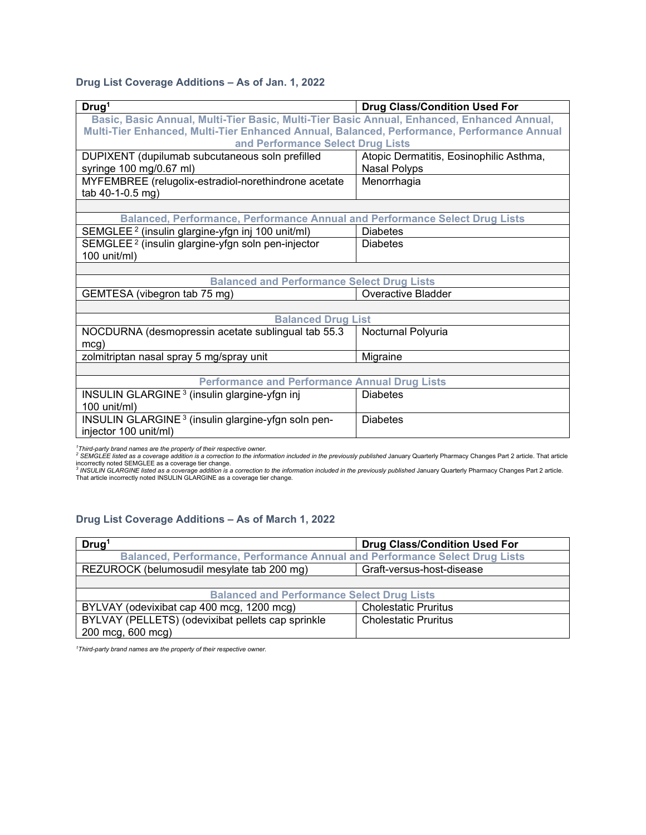# **Drug List Coverage Additions – As of Jan. 1, 2022**

| Drug <sup>1</sup>                                                                          | <b>Drug Class/Condition Used For</b>    |  |
|--------------------------------------------------------------------------------------------|-----------------------------------------|--|
| Basic, Basic Annual, Multi-Tier Basic, Multi-Tier Basic Annual, Enhanced, Enhanced Annual, |                                         |  |
| Multi-Tier Enhanced, Multi-Tier Enhanced Annual, Balanced, Performance, Performance Annual |                                         |  |
| and Performance Select Drug Lists                                                          |                                         |  |
| DUPIXENT (dupilumab subcutaneous soln prefilled                                            | Atopic Dermatitis, Eosinophilic Asthma, |  |
| syringe 100 mg/0.67 ml)                                                                    | Nasal Polyps                            |  |
| MYFEMBREE (relugolix-estradiol-norethindrone acetate                                       | Menorrhagia                             |  |
| tab 40-1-0.5 mg)                                                                           |                                         |  |
|                                                                                            |                                         |  |
| Balanced, Performance, Performance Annual and Performance Select Drug Lists                |                                         |  |
| SEMGLEE <sup>2</sup> (insulin glargine-yfgn inj 100 unit/ml)                               | <b>Diabetes</b>                         |  |
| SEMGLEE <sup>2</sup> (insulin glargine-yfgn soln pen-injector                              | <b>Diabetes</b>                         |  |
| 100 unit/ml)                                                                               |                                         |  |
|                                                                                            |                                         |  |
| <b>Balanced and Performance Select Drug Lists</b>                                          |                                         |  |
| GEMTESA (vibegron tab 75 mg)                                                               | Overactive Bladder                      |  |
|                                                                                            |                                         |  |
| <b>Balanced Drug List</b>                                                                  |                                         |  |
| NOCDURNA (desmopressin acetate sublingual tab 55.3                                         | Nocturnal Polyuria                      |  |
| mcg)                                                                                       |                                         |  |
| zolmitriptan nasal spray 5 mg/spray unit                                                   | Migraine                                |  |
|                                                                                            |                                         |  |
| <b>Performance and Performance Annual Drug Lists</b>                                       |                                         |  |
| INSULIN GLARGINE <sup>3</sup> (insulin glargine-yfgn inj                                   | <b>Diabetes</b>                         |  |
| 100 unit/ml)                                                                               |                                         |  |
| INSULIN GLARGINE <sup>3</sup> (insulin glargine-yfgn soln pen-                             | <b>Diabetes</b>                         |  |
| injector 100 unit/ml)                                                                      |                                         |  |

<sup>1</sup>Third-party brand names are the property of their respective owner.<br><sup>2</sup> SEMGLEE listed as a coverage addition is a correction to the information included in the previously published January Quarterly Pharmacy Changes Pa

incorrectly noted SEMGLEE as a coverage tier change.<br><sup>3</sup> INSULIN GLARGINE listed as a coverage addition is a correction to the information included in the previously published January Quarterly Pharmacy Changes Part 2 arti That article incorrectly noted INSULIN GLARGINE as a coverage tier change.

#### **Drug List Coverage Additions – As of March 1, 2022**

| Drug <sup>1</sup>                                                           | <b>Drug Class/Condition Used For</b> |  |  |  |
|-----------------------------------------------------------------------------|--------------------------------------|--|--|--|
| Balanced, Performance, Performance Annual and Performance Select Drug Lists |                                      |  |  |  |
| REZUROCK (belumosudil mesylate tab 200 mg)                                  | Graft-versus-host-disease            |  |  |  |
|                                                                             |                                      |  |  |  |
| <b>Balanced and Performance Select Drug Lists</b>                           |                                      |  |  |  |
| BYLVAY (odevixibat cap 400 mcg, 1200 mcg)                                   | <b>Cholestatic Pruritus</b>          |  |  |  |
| BYLVAY (PELLETS) (odevixibat pellets cap sprinkle                           | <b>Cholestatic Pruritus</b>          |  |  |  |
| 200 mcg, 600 mcg)                                                           |                                      |  |  |  |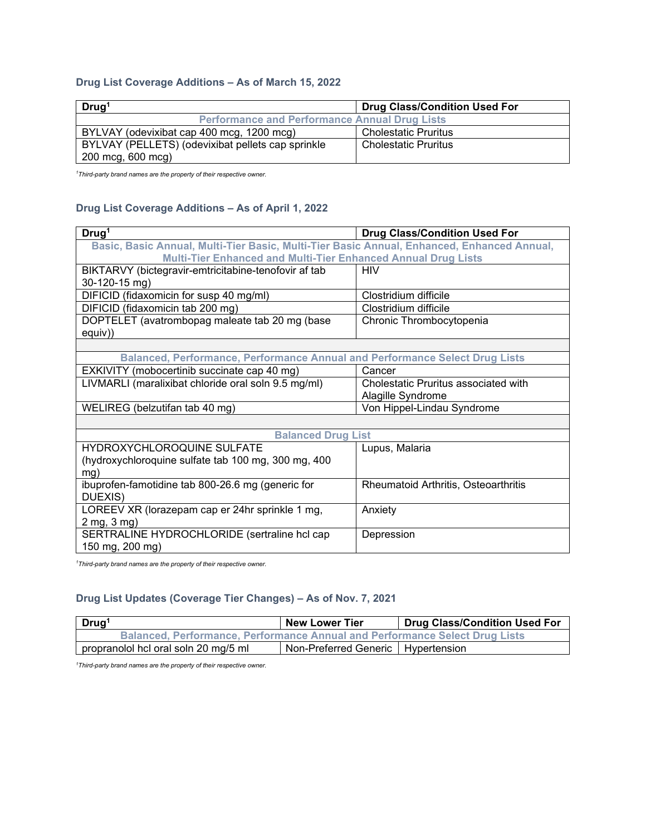# **Drug List Coverage Additions – As of March 15, 2022**

| Drug <sup>1</sup>                                    | <b>Drug Class/Condition Used For</b> |  |  |
|------------------------------------------------------|--------------------------------------|--|--|
| <b>Performance and Performance Annual Drug Lists</b> |                                      |  |  |
| BYLVAY (odevixibat cap 400 mcg, 1200 mcg)            | <b>Cholestatic Pruritus</b>          |  |  |
| BYLVAY (PELLETS) (odevixibat pellets cap sprinkle    | <b>Cholestatic Pruritus</b>          |  |  |
| 200 mcg, 600 mcg)                                    |                                      |  |  |

*1 Third-party brand names are the property of their respective owner.*

#### **Drug List Coverage Additions – As of April 1, 2022**

| Drug <sup>1</sup>                                                                          | <b>Drug Class/Condition Used For</b> |  |  |  |
|--------------------------------------------------------------------------------------------|--------------------------------------|--|--|--|
| Basic, Basic Annual, Multi-Tier Basic, Multi-Tier Basic Annual, Enhanced, Enhanced Annual, |                                      |  |  |  |
| <b>Multi-Tier Enhanced and Multi-Tier Enhanced Annual Drug Lists</b>                       |                                      |  |  |  |
| BIKTARVY (bictegravir-emtricitabine-tenofovir af tab                                       | <b>HIV</b>                           |  |  |  |
| 30-120-15 mg)                                                                              |                                      |  |  |  |
| DIFICID (fidaxomicin for susp 40 mg/ml)                                                    | Clostridium difficile                |  |  |  |
| DIFICID (fidaxomicin tab 200 mg)                                                           | Clostridium difficile                |  |  |  |
| DOPTELET (avatrombopag maleate tab 20 mg (base                                             | Chronic Thrombocytopenia             |  |  |  |
| equiv))                                                                                    |                                      |  |  |  |
|                                                                                            |                                      |  |  |  |
| Balanced, Performance, Performance Annual and Performance Select Drug Lists                |                                      |  |  |  |
| EXKIVITY (mobocertinib succinate cap 40 mg)                                                | Cancer                               |  |  |  |
| LIVMARLI (maralixibat chloride oral soln 9.5 mg/ml)                                        | Cholestatic Pruritus associated with |  |  |  |
|                                                                                            | Alagille Syndrome                    |  |  |  |
| WELIREG (belzutifan tab 40 mg)                                                             | Von Hippel-Lindau Syndrome           |  |  |  |
|                                                                                            |                                      |  |  |  |
| <b>Balanced Drug List</b>                                                                  |                                      |  |  |  |
| HYDROXYCHLOROQUINE SULFATE                                                                 | Lupus, Malaria                       |  |  |  |
| (hydroxychloroquine sulfate tab 100 mg, 300 mg, 400                                        |                                      |  |  |  |
| mg)                                                                                        |                                      |  |  |  |
| ibuprofen-famotidine tab 800-26.6 mg (generic for                                          | Rheumatoid Arthritis, Osteoarthritis |  |  |  |
| DUEXIS)                                                                                    |                                      |  |  |  |
| LOREEV XR (lorazepam cap er 24hr sprinkle 1 mg,                                            | Anxiety                              |  |  |  |
| 2 mg, 3 mg)                                                                                |                                      |  |  |  |
| SERTRALINE HYDROCHLORIDE (sertraline hcl cap                                               | Depression                           |  |  |  |
| 150 mg, 200 mg)                                                                            |                                      |  |  |  |

*1 Third-party brand names are the property of their respective owner.*

# **Drug List Updates (Coverage Tier Changes) – As of Nov. 7, 2021**

| Drug <sup>1</sup>                                                                  | <b>New Lower Tier</b>                | <b>Drug Class/Condition Used For</b> |  |  |
|------------------------------------------------------------------------------------|--------------------------------------|--------------------------------------|--|--|
| <b>Balanced, Performance, Performance Annual and Performance Select Drug Lists</b> |                                      |                                      |  |  |
| propranolol hcl oral soln 20 mg/5 ml '                                             | Non-Preferred Generic   Hypertension |                                      |  |  |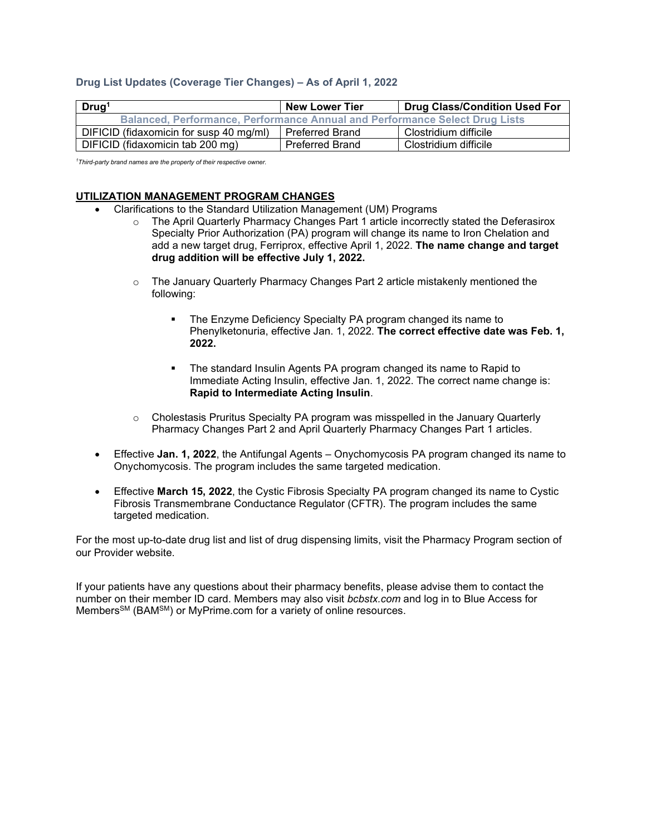#### **Drug List Updates (Coverage Tier Changes) – As of April 1, 2022**

| Drug <sup>1</sup>                                                                  | <b>New Lower Tier</b>  | <b>Drug Class/Condition Used For</b> |  |  |
|------------------------------------------------------------------------------------|------------------------|--------------------------------------|--|--|
| <b>Balanced, Performance, Performance Annual and Performance Select Drug Lists</b> |                        |                                      |  |  |
| DIFICID (fidaxomicin for susp 40 mg/ml)                                            | <b>Preferred Brand</b> | Clostridium difficile                |  |  |
| DIFICID (fidaxomicin tab 200 mg)                                                   | <b>Preferred Brand</b> | Clostridium difficile                |  |  |

*1 Third-party brand names are the property of their respective owner.*

#### **UTILIZATION MANAGEMENT PROGRAM CHANGES**

- Clarifications to the Standard Utilization Management (UM) Programs
	- o The April Quarterly Pharmacy Changes Part 1 article incorrectly stated the Deferasirox Specialty Prior Authorization (PA) program will change its name to Iron Chelation and add a new target drug, Ferriprox, effective April 1, 2022. **The name change and target drug addition will be effective July 1, 2022.**
	- o The January Quarterly Pharmacy Changes Part 2 article mistakenly mentioned the following:
		- The Enzyme Deficiency Specialty PA program changed its name to Phenylketonuria, effective Jan. 1, 2022. **The correct effective date was Feb. 1, 2022.**
		- The standard Insulin Agents PA program changed its name to Rapid to Immediate Acting Insulin, effective Jan. 1, 2022. The correct name change is: **Rapid to Intermediate Acting Insulin**.
	- $\circ$  Cholestasis Pruritus Specialty PA program was misspelled in the January Quarterly Pharmacy Changes Part 2 and April Quarterly Pharmacy Changes Part 1 articles.
- Effective **Jan. 1, 2022**, the Antifungal Agents Onychomycosis PA program changed its name to Onychomycosis. The program includes the same targeted medication.
- Effective **March 15, 2022**, the Cystic Fibrosis Specialty PA program changed its name to Cystic Fibrosis Transmembrane Conductance Regulator (CFTR). The program includes the same targeted medication.

For the most up-to-date drug list and list of drug dispensing limits, visit the Pharmacy Program section of our Provider website.

If your patients have any questions about their pharmacy benefits, please advise them to contact the number on their member ID card. Members may also visit *bcbstx.com* and log in to Blue Access for Members<sup>SM</sup> (BAM<sup>SM</sup>) or MyPrime.com for a variety of online resources.